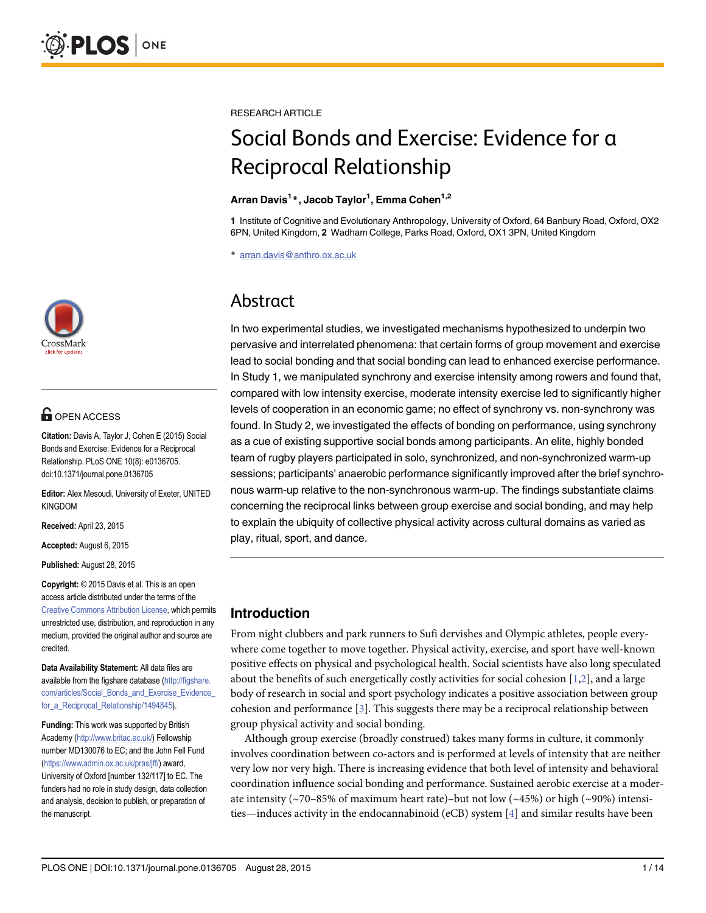

## **G** OPEN ACCESS

Citation: Davis A, Taylor J, Cohen E (2015) Social Bonds and Exercise: Evidence for a Reciprocal Relationship. PLoS ONE 10(8): e0136705. doi:10.1371/journal.pone.0136705

Editor: Alex Mesoudi, University of Exeter, UNITED KINGDOM

Received: April 23, 2015

Accepted: August 6, 2015

Published: August 28, 2015

Copyright: © 2015 Davis et al. This is an open access article distributed under the terms of the [Creative Commons Attribution License,](http://creativecommons.org/licenses/by/4.0/) which permits unrestricted use, distribution, and reproduction in any medium, provided the original author and source are credited.

Data Availability Statement: All data files are available from the figshare database ([http://figshare.](http://figshare.com/articles/Social_Bonds_and_Exercise_Evidence_for_a_Reciprocal_Relationship/1494845) [com/articles/Social\\_Bonds\\_and\\_Exercise\\_Evidence\\_](http://figshare.com/articles/Social_Bonds_and_Exercise_Evidence_for_a_Reciprocal_Relationship/1494845) [for\\_a\\_Reciprocal\\_Relationship/1494845](http://figshare.com/articles/Social_Bonds_and_Exercise_Evidence_for_a_Reciprocal_Relationship/1494845)).

Funding: This work was supported by British Academy ([http://www.britac.ac.uk/\)](http://www.britac.ac.uk/) Fellowship number MD130076 to EC; and the John Fell Fund [\(https://www.admin.ox.ac.uk/pras/jff/\)](https://www.admin.ox.ac.uk/pras/jff/) award, University of Oxford [number 132/117] to EC. The funders had no role in study design, data collection and analysis, decision to publish, or preparation of the manuscript.

<span id="page-0-0"></span>RESEARCH ARTICLE

# Social Bonds and Exercise: Evidence for a Reciprocal Relationship

#### Arran Davis<sup>1</sup>\*, Jacob Taylor<sup>1</sup>, Emma Cohen<sup>1,2</sup>

1 Institute of Cognitive and Evolutionary Anthropology, University of Oxford, 64 Banbury Road, Oxford, OX2 6PN, United Kingdom, 2 Wadham College, Parks Road, Oxford, OX1 3PN, United Kingdom

\* arran.davis@anthro.ox.ac.uk

## Abstract

In two experimental studies, we investigated mechanisms hypothesized to underpin two pervasive and interrelated phenomena: that certain forms of group movement and exercise lead to social bonding and that social bonding can lead to enhanced exercise performance. In Study 1, we manipulated synchrony and exercise intensity among rowers and found that, compared with low intensity exercise, moderate intensity exercise led to significantly higher levels of cooperation in an economic game; no effect of synchrony vs. non-synchrony was found. In Study 2, we investigated the effects of bonding on performance, using synchrony as a cue of existing supportive social bonds among participants. An elite, highly bonded team of rugby players participated in solo, synchronized, and non-synchronized warm-up sessions; participants' anaerobic performance significantly improved after the brief synchronous warm-up relative to the non-synchronous warm-up. The findings substantiate claims concerning the reciprocal links between group exercise and social bonding, and may help to explain the ubiquity of collective physical activity across cultural domains as varied as play, ritual, sport, and dance.

### Introduction

From night clubbers and park runners to Sufi dervishes and Olympic athletes, people everywhere come together to move together. Physical activity, exercise, and sport have well-known positive effects on physical and psychological health. Social scientists have also long speculated about the benefits of such energetically costly activities for social cohesion  $[1,2]$  $[1,2]$ , and a large body of research in social and sport psychology indicates a positive association between group cohesion and performance  $[3]$  $[3]$ . This suggests there may be a reciprocal relationship between group physical activity and social bonding.

Although group exercise (broadly construed) takes many forms in culture, it commonly involves coordination between co-actors and is performed at levels of intensity that are neither very low nor very high. There is increasing evidence that both level of intensity and behavioral coordination influence social bonding and performance. Sustained aerobic exercise at a moderate intensity ( $\sim$ 70–85% of maximum heart rate)–but not low ( $\sim$ 45%) or high ( $\sim$ 90%) intensities—induces activity in the endocannabinoid (eCB) system  $[4]$  $[4]$  $[4]$  and similar results have been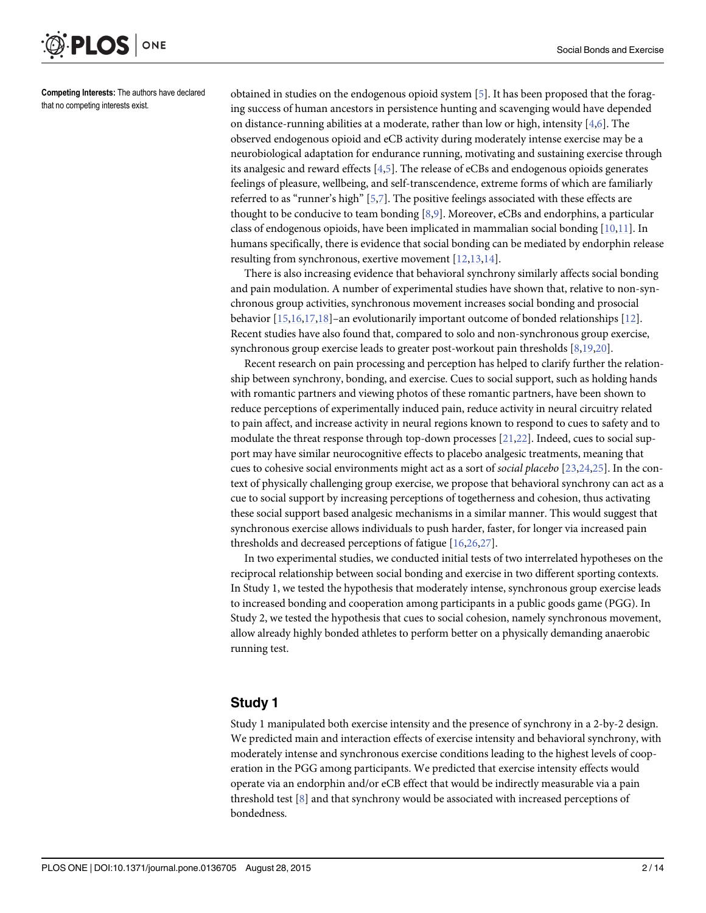<span id="page-1-0"></span>

Competing Interests: The authors have declared that no competing interests exist.

obtained in studies on the endogenous opioid system [\[5\]](#page-11-0). It has been proposed that the foraging success of human ancestors in persistence hunting and scavenging would have depended on distance-running abilities at a moderate, rather than low or high, intensity [[4,6\]](#page-11-0). The observed endogenous opioid and eCB activity during moderately intense exercise may be a neurobiological adaptation for endurance running, motivating and sustaining exercise through its analgesic and reward effects [\[4,5](#page-11-0)]. The release of eCBs and endogenous opioids generates feelings of pleasure, wellbeing, and self-transcendence, extreme forms of which are familiarly referred to as "runner's high" [\[5,7](#page-11-0)]. The positive feelings associated with these effects are thought to be conducive to team bonding  $[8,9]$ . Moreover, eCBs and endorphins, a particular class of endogenous opioids, have been implicated in mammalian social bonding  $[10,11]$  $[10,11]$ . In humans specifically, there is evidence that social bonding can be mediated by endorphin release resulting from synchronous, exertive movement [[12,13](#page-12-0),[14](#page-12-0)].

There is also increasing evidence that behavioral synchrony similarly affects social bonding and pain modulation. A number of experimental studies have shown that, relative to non-synchronous group activities, synchronous movement increases social bonding and prosocial behavior [\[15,16,17,18](#page-12-0)]–an evolutionarily important outcome of bonded relationships [\[12\]](#page-12-0). Recent studies have also found that, compared to solo and non-synchronous group exercise, synchronous group exercise leads to greater post-workout pain thresholds [[8,](#page-11-0)[19,20](#page-12-0)].

Recent research on pain processing and perception has helped to clarify further the relationship between synchrony, bonding, and exercise. Cues to social support, such as holding hands with romantic partners and viewing photos of these romantic partners, have been shown to reduce perceptions of experimentally induced pain, reduce activity in neural circuitry related to pain affect, and increase activity in neural regions known to respond to cues to safety and to modulate the threat response through top-down processes  $[21,22]$ . Indeed, cues to social support may have similar neurocognitive effects to placebo analgesic treatments, meaning that cues to cohesive social environments might act as a sort of social placebo [[23,24,25\]](#page-12-0). In the context of physically challenging group exercise, we propose that behavioral synchrony can act as a cue to social support by increasing perceptions of togetherness and cohesion, thus activating these social support based analgesic mechanisms in a similar manner. This would suggest that synchronous exercise allows individuals to push harder, faster, for longer via increased pain thresholds and decreased perceptions of fatigue [\[16,26](#page-12-0),[27](#page-12-0)].

In two experimental studies, we conducted initial tests of two interrelated hypotheses on the reciprocal relationship between social bonding and exercise in two different sporting contexts. In Study 1, we tested the hypothesis that moderately intense, synchronous group exercise leads to increased bonding and cooperation among participants in a public goods game (PGG). In Study 2, we tested the hypothesis that cues to social cohesion, namely synchronous movement, allow already highly bonded athletes to perform better on a physically demanding anaerobic running test.

#### Study 1

Study 1 manipulated both exercise intensity and the presence of synchrony in a 2-by-2 design. We predicted main and interaction effects of exercise intensity and behavioral synchrony, with moderately intense and synchronous exercise conditions leading to the highest levels of cooperation in the PGG among participants. We predicted that exercise intensity effects would operate via an endorphin and/or eCB effect that would be indirectly measurable via a pain threshold test [[8](#page-11-0)] and that synchrony would be associated with increased perceptions of bondedness.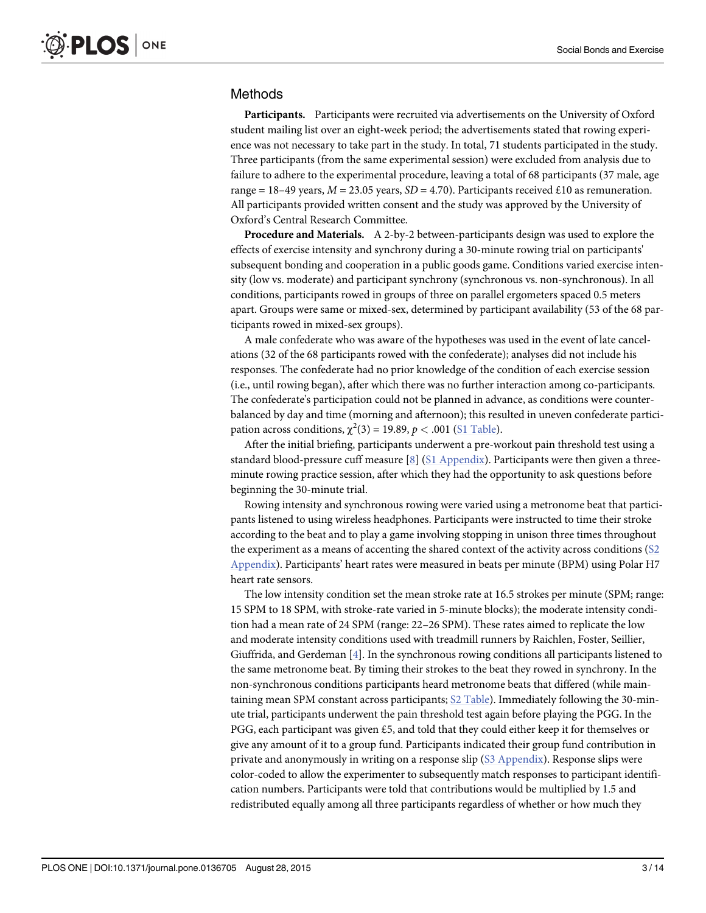#### Methods

Participants. Participants were recruited via advertisements on the University of Oxford student mailing list over an eight-week period; the advertisements stated that rowing experience was not necessary to take part in the study. In total, 71 students participated in the study. Three participants (from the same experimental session) were excluded from analysis due to failure to adhere to the experimental procedure, leaving a total of 68 participants (37 male, age range = 18–49 years,  $M = 23.05$  years,  $SD = 4.70$ ). Participants received £10 as remuneration. All participants provided written consent and the study was approved by the University of Oxford's Central Research Committee.

Procedure and Materials. A 2-by-2 between-participants design was used to explore the effects of exercise intensity and synchrony during a 30-minute rowing trial on participants' subsequent bonding and cooperation in a public goods game. Conditions varied exercise intensity (low vs. moderate) and participant synchrony (synchronous vs. non-synchronous). In all conditions, participants rowed in groups of three on parallel ergometers spaced 0.5 meters apart. Groups were same or mixed-sex, determined by participant availability (53 of the 68 participants rowed in mixed-sex groups).

A male confederate who was aware of the hypotheses was used in the event of late cancelations (32 of the 68 participants rowed with the confederate); analyses did not include his responses. The confederate had no prior knowledge of the condition of each exercise session (i.e., until rowing began), after which there was no further interaction among co-participants. The confederate's participation could not be planned in advance, as conditions were counterbalanced by day and time (morning and afternoon); this resulted in uneven confederate participation across conditions,  $\chi^2(3) = 19.89$ ,  $p < .001$  (<u>S1 Table</u>).

After the initial briefing, participants underwent a pre-workout pain threshold test using a standard blood-pressure cuff measure [\[8](#page-11-0)] [\(S1 Appendix](#page-10-0)). Participants were then given a threeminute rowing practice session, after which they had the opportunity to ask questions before beginning the 30-minute trial.

Rowing intensity and synchronous rowing were varied using a metronome beat that participants listened to using wireless headphones. Participants were instructed to time their stroke according to the beat and to play a game involving stopping in unison three times throughout the experiment as a means of accenting the shared context of the activity across conditions  $(S_2)$ [Appendix](#page-10-0)). Participants' heart rates were measured in beats per minute (BPM) using Polar H7 heart rate sensors.

The low intensity condition set the mean stroke rate at 16.5 strokes per minute (SPM; range: 15 SPM to 18 SPM, with stroke-rate varied in 5-minute blocks); the moderate intensity condition had a mean rate of 24 SPM (range: 22–26 SPM). These rates aimed to replicate the low and moderate intensity conditions used with treadmill runners by Raichlen, Foster, Seillier, Giuffrida, and Gerdeman [\[4\]](#page-11-0). In the synchronous rowing conditions all participants listened to the same metronome beat. By timing their strokes to the beat they rowed in synchrony. In the non-synchronous conditions participants heard metronome beats that differed (while maintaining mean SPM constant across participants; [S2 Table\)](#page-10-0). Immediately following the 30-minute trial, participants underwent the pain threshold test again before playing the PGG. In the PGG, each participant was given  $£5$ , and told that they could either keep it for themselves or give any amount of it to a group fund. Participants indicated their group fund contribution in private and anonymously in writing on a response slip [\(S3 Appendix](#page-10-0)). Response slips were color-coded to allow the experimenter to subsequently match responses to participant identification numbers. Participants were told that contributions would be multiplied by 1.5 and redistributed equally among all three participants regardless of whether or how much they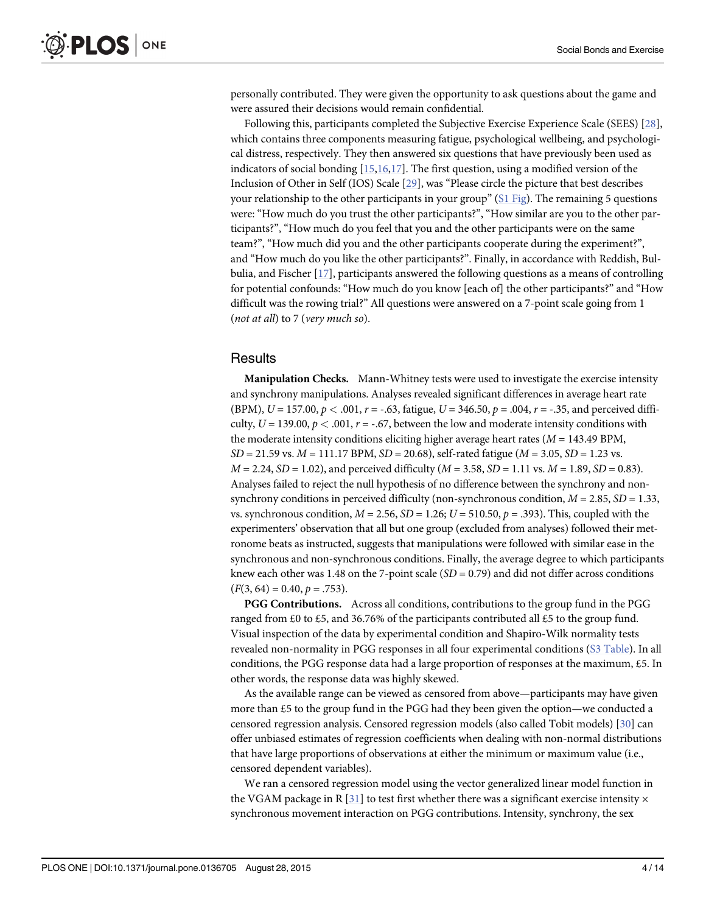<span id="page-3-0"></span>personally contributed. They were given the opportunity to ask questions about the game and were assured their decisions would remain confidential.

Following this, participants completed the Subjective Exercise Experience Scale (SEES) [[28](#page-12-0)], which contains three components measuring fatigue, psychological wellbeing, and psychological distress, respectively. They then answered six questions that have previously been used as indicators of social bonding  $[15,16,17]$ . The first question, using a modified version of the Inclusion of Other in Self (IOS) Scale [\[29\]](#page-12-0), was "Please circle the picture that best describes your relationship to the other participants in your group"  $(S1 \text{ Fig})$ . The remaining 5 questions were: "How much do you trust the other participants?", "How similar are you to the other participants?", "How much do you feel that you and the other participants were on the same team?", "How much did you and the other participants cooperate during the experiment?", and "How much do you like the other participants?". Finally, in accordance with Reddish, Bulbulia, and Fischer [[17](#page-12-0)], participants answered the following questions as a means of controlling for potential confounds: "How much do you know [each of] the other participants?" and "How difficult was the rowing trial?" All questions were answered on a 7-point scale going from 1 (not at all) to 7 (very much so).

#### **Results**

Manipulation Checks. Mann-Whitney tests were used to investigate the exercise intensity and synchrony manipulations. Analyses revealed significant differences in average heart rate (BPM),  $U = 157.00$ ,  $p < .001$ ,  $r = -.63$ , fatigue,  $U = 346.50$ ,  $p = .004$ ,  $r = -.35$ , and perceived difficulty,  $U = 139.00$ ,  $p < .001$ ,  $r = -.67$ , between the low and moderate intensity conditions with the moderate intensity conditions eliciting higher average heart rates ( $M = 143.49$  BPM,  $SD = 21.59$  vs.  $M = 111.17$  BPM,  $SD = 20.68$ ), self-rated fatigue ( $M = 3.05$ ,  $SD = 1.23$  vs.  $M = 2.24$ ,  $SD = 1.02$ ), and perceived difficulty ( $M = 3.58$ ,  $SD = 1.11$  vs.  $M = 1.89$ ,  $SD = 0.83$ ). Analyses failed to reject the null hypothesis of no difference between the synchrony and nonsynchrony conditions in perceived difficulty (non-synchronous condition,  $M = 2.85$ ,  $SD = 1.33$ , vs. synchronous condition,  $M = 2.56$ ,  $SD = 1.26$ ;  $U = 510.50$ ,  $p = .393$ ). This, coupled with the experimenters' observation that all but one group (excluded from analyses) followed their metronome beats as instructed, suggests that manipulations were followed with similar ease in the synchronous and non-synchronous conditions. Finally, the average degree to which participants knew each other was 1.48 on the 7-point scale  $(SD = 0.79)$  and did not differ across conditions  $(F(3, 64) = 0.40, p = .753).$ 

PGG Contributions. Across all conditions, contributions to the group fund in the PGG ranged from £0 to £5, and 36.76% of the participants contributed all £5 to the group fund. Visual inspection of the data by experimental condition and Shapiro-Wilk normality tests revealed non-normality in PGG responses in all four experimental conditions ([S3 Table\)](#page-11-0). In all conditions, the PGG response data had a large proportion of responses at the maximum,  $£5$ . In other words, the response data was highly skewed.

As the available range can be viewed as censored from above—participants may have given more than £5 to the group fund in the PGG had they been given the option—we conducted a censored regression analysis. Censored regression models (also called Tobit models) [[30](#page-12-0)] can offer unbiased estimates of regression coefficients when dealing with non-normal distributions that have large proportions of observations at either the minimum or maximum value (i.e., censored dependent variables).

We ran a censored regression model using the vector generalized linear model function in the VGAM package in R  $[31]$  $[31]$  $[31]$  to test first whether there was a significant exercise intensity  $\times$ synchronous movement interaction on PGG contributions. Intensity, synchrony, the sex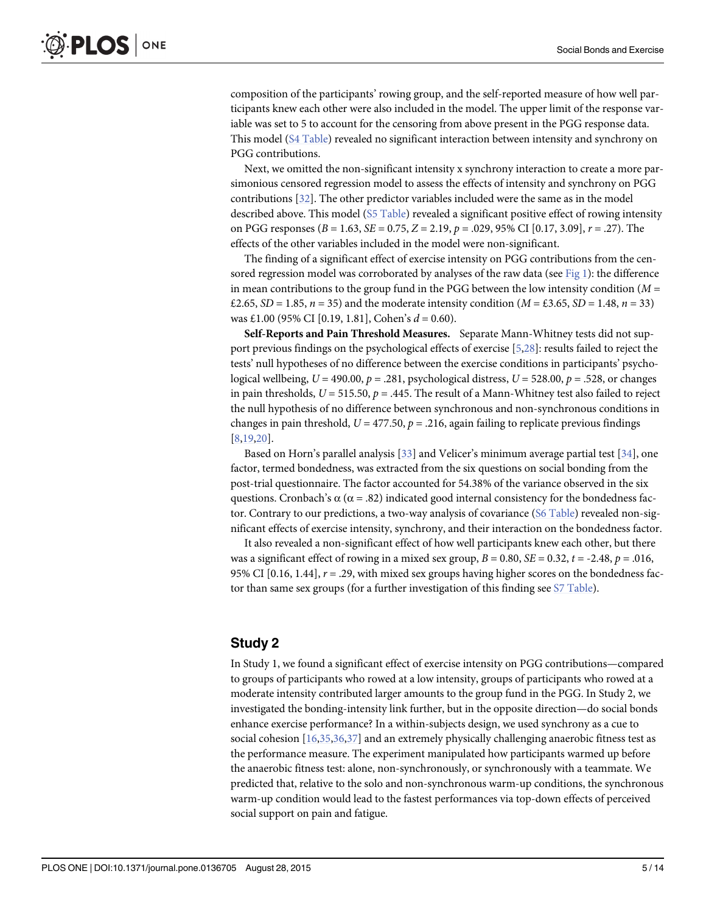<span id="page-4-0"></span>composition of the participants' rowing group, and the self-reported measure of how well participants knew each other were also included in the model. The upper limit of the response variable was set to 5 to account for the censoring from above present in the PGG response data. This model ([S4 Table](#page-11-0)) revealed no significant interaction between intensity and synchrony on PGG contributions.

Next, we omitted the non-significant intensity x synchrony interaction to create a more parsimonious censored regression model to assess the effects of intensity and synchrony on PGG contributions [\[32](#page-12-0)]. The other predictor variables included were the same as in the model described above. This model [\(S5 Table](#page-11-0)) revealed a significant positive effect of rowing intensity on PGG responses ( $B = 1.63$ ,  $SE = 0.75$ ,  $Z = 2.19$ ,  $p = .029$ , 95% CI [0.17, 3.09],  $r = .27$ ). The effects of the other variables included in the model were non-significant.

The finding of a significant effect of exercise intensity on PGG contributions from the cen-sored regression model was corroborated by analyses of the raw data (see [Fig 1\)](#page-5-0): the difference in mean contributions to the group fund in the PGG between the low intensity condition  $(M =$ £2.65,  $SD = 1.85$ ,  $n = 35$ ) and the moderate intensity condition ( $M = \text{\textsterling}3.65$ ,  $SD = 1.48$ ,  $n = 33$ ) was £1.00 (95% CI [0.19, 1.81], Cohen's  $d = 0.60$ ).

Self-Reports and Pain Threshold Measures. Separate Mann-Whitney tests did not support previous findings on the psychological effects of exercise [[5](#page-11-0),[28](#page-12-0)]: results failed to reject the tests' null hypotheses of no difference between the exercise conditions in participants' psychological wellbeing,  $U = 490.00$ ,  $p = .281$ , psychological distress,  $U = 528.00$ ,  $p = .528$ , or changes in pain thresholds,  $U = 515.50$ ,  $p = .445$ . The result of a Mann-Whitney test also failed to reject the null hypothesis of no difference between synchronous and non-synchronous conditions in changes in pain threshold,  $U = 477.50$ ,  $p = .216$ , again failing to replicate previous findings  $[8,19,20]$  $[8,19,20]$ .

Based on Horn's parallel analysis [\[33\]](#page-12-0) and Velicer's minimum average partial test [[34\]](#page-12-0), one factor, termed bondedness, was extracted from the six questions on social bonding from the post-trial questionnaire. The factor accounted for 54.38% of the variance observed in the six questions. Cronbach's  $\alpha$  ( $\alpha$  = .82) indicated good internal consistency for the bondedness fac-tor. Contrary to our predictions, a two-way analysis of covariance ([S6 Table](#page-11-0)) revealed non-significant effects of exercise intensity, synchrony, and their interaction on the bondedness factor.

It also revealed a non-significant effect of how well participants knew each other, but there was a significant effect of rowing in a mixed sex group,  $B = 0.80$ ,  $SE = 0.32$ ,  $t = -2.48$ ,  $p = .016$ , 95% CI [0.16, 1.44],  $r = .29$ , with mixed sex groups having higher scores on the bondedness factor than same sex groups (for a further investigation of this finding see  $ST$  Table).

#### Study 2

In Study 1, we found a significant effect of exercise intensity on PGG contributions—compared to groups of participants who rowed at a low intensity, groups of participants who rowed at a moderate intensity contributed larger amounts to the group fund in the PGG. In Study 2, we investigated the bonding-intensity link further, but in the opposite direction—do social bonds enhance exercise performance? In a within-subjects design, we used synchrony as a cue to social cohesion [\[16,35,](#page-12-0)[36,37](#page-13-0)] and an extremely physically challenging anaerobic fitness test as the performance measure. The experiment manipulated how participants warmed up before the anaerobic fitness test: alone, non-synchronously, or synchronously with a teammate. We predicted that, relative to the solo and non-synchronous warm-up conditions, the synchronous warm-up condition would lead to the fastest performances via top-down effects of perceived social support on pain and fatigue.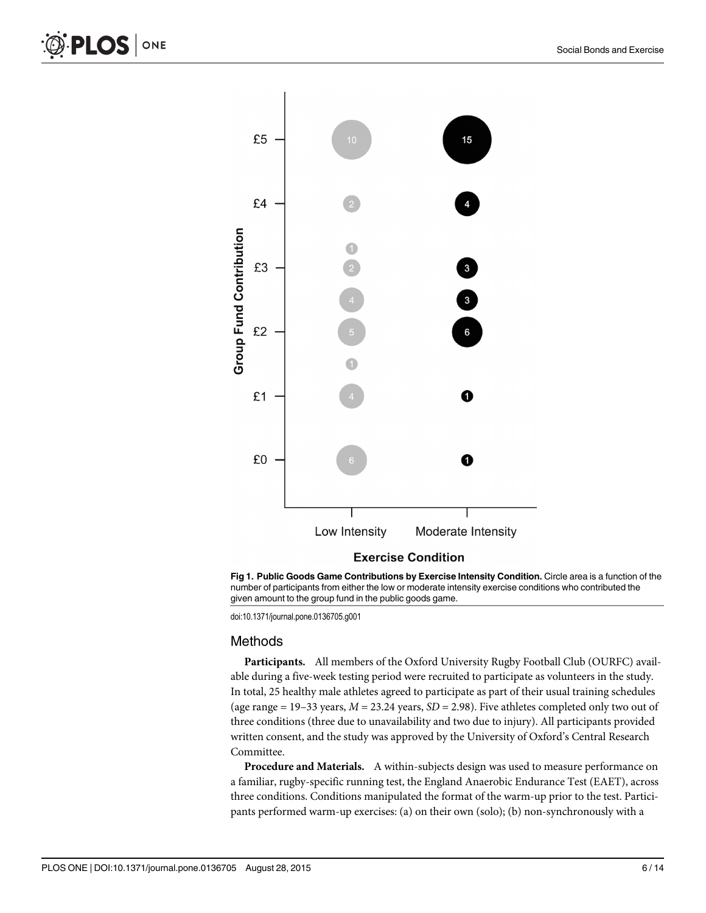

#### **Exercise Condition**

[Fig 1. P](#page-4-0)ublic Goods Game Contributions by Exercise Intensity Condition. Circle area is a function of the number of participants from either the low or moderate intensity exercise conditions who contributed the given amount to the group fund in the public goods game.

doi:10.1371/journal.pone.0136705.g001

#### Methods

Participants. All members of the Oxford University Rugby Football Club (OURFC) available during a five-week testing period were recruited to participate as volunteers in the study. In total, 25 healthy male athletes agreed to participate as part of their usual training schedules (age range = 19-33 years,  $M = 23.24$  years,  $SD = 2.98$ ). Five athletes completed only two out of three conditions (three due to unavailability and two due to injury). All participants provided written consent, and the study was approved by the University of Oxford's Central Research Committee.

Procedure and Materials. A within-subjects design was used to measure performance on a familiar, rugby-specific running test, the England Anaerobic Endurance Test (EAET), across three conditions. Conditions manipulated the format of the warm-up prior to the test. Participants performed warm-up exercises: (a) on their own (solo); (b) non-synchronously with a

ONE

<span id="page-5-0"></span>LOS I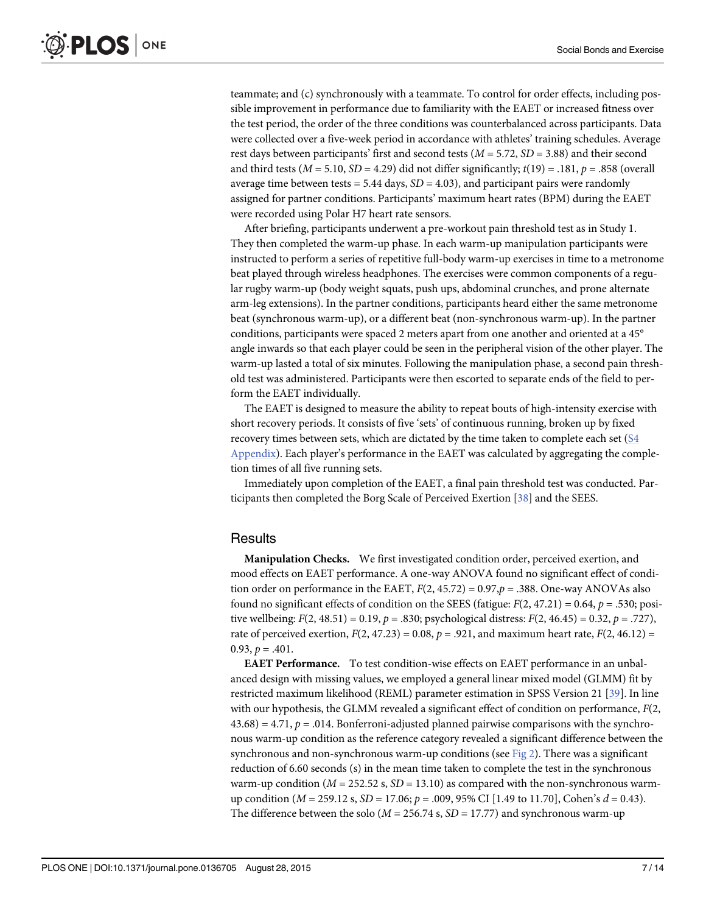<span id="page-6-0"></span>teammate; and (c) synchronously with a teammate. To control for order effects, including possible improvement in performance due to familiarity with the EAET or increased fitness over the test period, the order of the three conditions was counterbalanced across participants. Data were collected over a five-week period in accordance with athletes' training schedules. Average rest days between participants' first and second tests ( $M = 5.72$ ,  $SD = 3.88$ ) and their second and third tests ( $M = 5.10$ ,  $SD = 4.29$ ) did not differ significantly;  $t(19) = .181$ ,  $p = .858$  (overall average time between tests =  $5.44$  days,  $SD = 4.03$ ), and participant pairs were randomly assigned for partner conditions. Participants' maximum heart rates (BPM) during the EAET were recorded using Polar H7 heart rate sensors.

After briefing, participants underwent a pre-workout pain threshold test as in Study 1. They then completed the warm-up phase. In each warm-up manipulation participants were instructed to perform a series of repetitive full-body warm-up exercises in time to a metronome beat played through wireless headphones. The exercises were common components of a regular rugby warm-up (body weight squats, push ups, abdominal crunches, and prone alternate arm-leg extensions). In the partner conditions, participants heard either the same metronome beat (synchronous warm-up), or a different beat (non-synchronous warm-up). In the partner conditions, participants were spaced 2 meters apart from one another and oriented at a 45° angle inwards so that each player could be seen in the peripheral vision of the other player. The warm-up lasted a total of six minutes. Following the manipulation phase, a second pain threshold test was administered. Participants were then escorted to separate ends of the field to perform the EAET individually.

The EAET is designed to measure the ability to repeat bouts of high-intensity exercise with short recovery periods. It consists of five 'sets' of continuous running, broken up by fixed recovery times between sets, which are dictated by the time taken to complete each set ([S4](#page-10-0) [Appendix](#page-10-0)). Each player's performance in the EAET was calculated by aggregating the completion times of all five running sets.

Immediately upon completion of the EAET, a final pain threshold test was conducted. Par-ticipants then completed the Borg Scale of Perceived Exertion [[38](#page-13-0)] and the SEES.

#### **Results**

Manipulation Checks. We first investigated condition order, perceived exertion, and mood effects on EAET performance. A one-way ANOVA found no significant effect of condition order on performance in the EAET,  $F(2, 45.72) = 0.97$ ,  $p = .388$ . One-way ANOVAs also found no significant effects of condition on the SEES (fatigue:  $F(2, 47.21) = 0.64$ ,  $p = .530$ ; positive wellbeing:  $F(2, 48.51) = 0.19$ ,  $p = .830$ ; psychological distress:  $F(2, 46.45) = 0.32$ ,  $p = .727$ ), rate of perceived exertion,  $F(2, 47.23) = 0.08$ ,  $p = .921$ , and maximum heart rate,  $F(2, 46.12) =$  $0.93, p = .401.$ 

EAET Performance. To test condition-wise effects on EAET performance in an unbalanced design with missing values, we employed a general linear mixed model (GLMM) fit by restricted maximum likelihood (REML) parameter estimation in SPSS Version 21 [\[39\]](#page-13-0). In line with our hypothesis, the GLMM revealed a significant effect of condition on performance,  $F(2)$ ,  $43.68$ ) = 4.71,  $p = .014$ . Bonferroni-adjusted planned pairwise comparisons with the synchronous warm-up condition as the reference category revealed a significant difference between the synchronous and non-synchronous warm-up conditions (see Fig  $2$ ). There was a significant reduction of 6.60 seconds (s) in the mean time taken to complete the test in the synchronous warm-up condition ( $M = 252.52$  s,  $SD = 13.10$ ) as compared with the non-synchronous warmup condition ( $M = 259.12$  s,  $SD = 17.06$ ;  $p = .009$ , 95% CI [1.49 to 11.70], Cohen's  $d = 0.43$ ). The difference between the solo ( $M = 256.74$  s,  $SD = 17.77$ ) and synchronous warm-up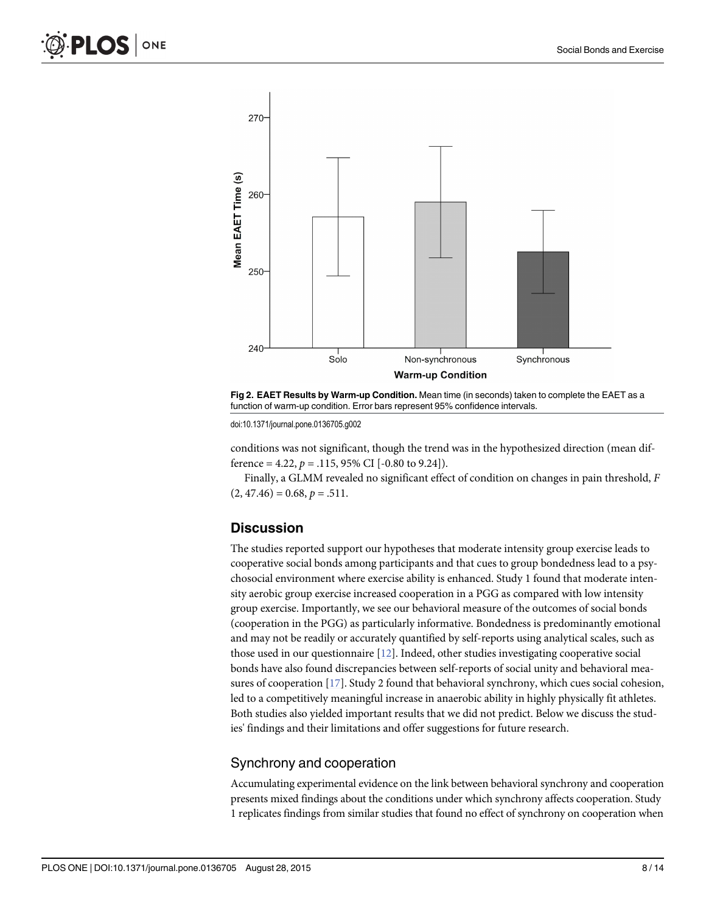<span id="page-7-0"></span>

[Fig 2. E](#page-6-0)AET Results by Warm-up Condition. Mean time (in seconds) taken to complete the EAET as a function of warm-up condition. Error bars represent 95% confidence intervals.

doi:10.1371/journal.pone.0136705.g002

conditions was not significant, though the trend was in the hypothesized direction (mean difference = 4.22,  $p = .115,95\%$  CI [-0.80 to 9.24]).

Finally, a GLMM revealed no significant effect of condition on changes in pain threshold, F  $(2, 47.46) = 0.68, p = .511.$ 

#### **Discussion**

The studies reported support our hypotheses that moderate intensity group exercise leads to cooperative social bonds among participants and that cues to group bondedness lead to a psychosocial environment where exercise ability is enhanced. Study 1 found that moderate intensity aerobic group exercise increased cooperation in a PGG as compared with low intensity group exercise. Importantly, we see our behavioral measure of the outcomes of social bonds (cooperation in the PGG) as particularly informative. Bondedness is predominantly emotional and may not be readily or accurately quantified by self-reports using analytical scales, such as those used in our questionnaire [\[12\]](#page-12-0). Indeed, other studies investigating cooperative social bonds have also found discrepancies between self-reports of social unity and behavioral measures of cooperation [[17](#page-12-0)]. Study 2 found that behavioral synchrony, which cues social cohesion, led to a competitively meaningful increase in anaerobic ability in highly physically fit athletes. Both studies also yielded important results that we did not predict. Below we discuss the studies' findings and their limitations and offer suggestions for future research.

#### Synchrony and cooperation

Accumulating experimental evidence on the link between behavioral synchrony and cooperation presents mixed findings about the conditions under which synchrony affects cooperation. Study 1 replicates findings from similar studies that found no effect of synchrony on cooperation when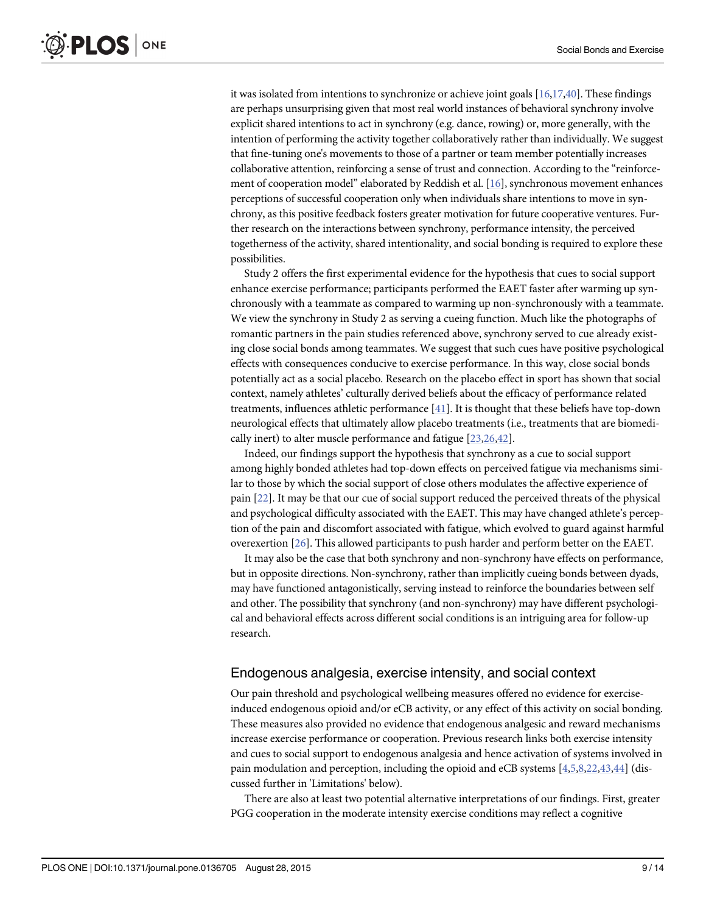<span id="page-8-0"></span>it was isolated from intentions to synchronize or achieve joint goals [\[16,17](#page-12-0),[40](#page-13-0)]. These findings are perhaps unsurprising given that most real world instances of behavioral synchrony involve explicit shared intentions to act in synchrony (e.g. dance, rowing) or, more generally, with the intention of performing the activity together collaboratively rather than individually. We suggest that fine-tuning one's movements to those of a partner or team member potentially increases collaborative attention, reinforcing a sense of trust and connection. According to the "reinforce-ment of cooperation model" elaborated by Reddish et al. [[16](#page-12-0)], synchronous movement enhances perceptions of successful cooperation only when individuals share intentions to move in synchrony, as this positive feedback fosters greater motivation for future cooperative ventures. Further research on the interactions between synchrony, performance intensity, the perceived togetherness of the activity, shared intentionality, and social bonding is required to explore these possibilities.

Study 2 offers the first experimental evidence for the hypothesis that cues to social support enhance exercise performance; participants performed the EAET faster after warming up synchronously with a teammate as compared to warming up non-synchronously with a teammate. We view the synchrony in Study 2 as serving a cueing function. Much like the photographs of romantic partners in the pain studies referenced above, synchrony served to cue already existing close social bonds among teammates. We suggest that such cues have positive psychological effects with consequences conducive to exercise performance. In this way, close social bonds potentially act as a social placebo. Research on the placebo effect in sport has shown that social context, namely athletes' culturally derived beliefs about the efficacy of performance related treatments, influences athletic performance [\[41\]](#page-13-0). It is thought that these beliefs have top-down neurological effects that ultimately allow placebo treatments (i.e., treatments that are biomedically inert) to alter muscle performance and fatigue [[23](#page-12-0),[26](#page-12-0)[,42](#page-13-0)].

Indeed, our findings support the hypothesis that synchrony as a cue to social support among highly bonded athletes had top-down effects on perceived fatigue via mechanisms similar to those by which the social support of close others modulates the affective experience of pain [\[22\]](#page-12-0). It may be that our cue of social support reduced the perceived threats of the physical and psychological difficulty associated with the EAET. This may have changed athlete's perception of the pain and discomfort associated with fatigue, which evolved to guard against harmful overexertion [[26](#page-12-0)]. This allowed participants to push harder and perform better on the EAET.

It may also be the case that both synchrony and non-synchrony have effects on performance, but in opposite directions. Non-synchrony, rather than implicitly cueing bonds between dyads, may have functioned antagonistically, serving instead to reinforce the boundaries between self and other. The possibility that synchrony (and non-synchrony) may have different psychological and behavioral effects across different social conditions is an intriguing area for follow-up research.

#### Endogenous analgesia, exercise intensity, and social context

Our pain threshold and psychological wellbeing measures offered no evidence for exerciseinduced endogenous opioid and/or eCB activity, or any effect of this activity on social bonding. These measures also provided no evidence that endogenous analgesic and reward mechanisms increase exercise performance or cooperation. Previous research links both exercise intensity and cues to social support to endogenous analgesia and hence activation of systems involved in pain modulation and perception, including the opioid and eCB systems [[4,5,8,](#page-11-0)[22](#page-12-0)[,43,44\]](#page-13-0) (discussed further in 'Limitations' below).

There are also at least two potential alternative interpretations of our findings. First, greater PGG cooperation in the moderate intensity exercise conditions may reflect a cognitive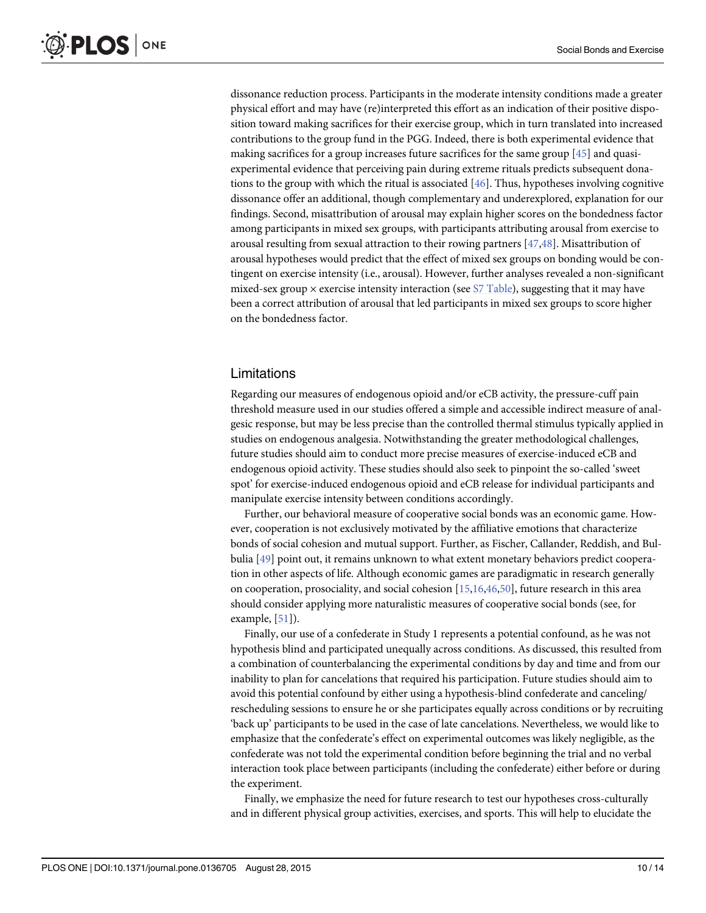<span id="page-9-0"></span>dissonance reduction process. Participants in the moderate intensity conditions made a greater physical effort and may have (re)interpreted this effort as an indication of their positive disposition toward making sacrifices for their exercise group, which in turn translated into increased contributions to the group fund in the PGG. Indeed, there is both experimental evidence that making sacrifices for a group increases future sacrifices for the same group [[45](#page-13-0)] and quasiexperimental evidence that perceiving pain during extreme rituals predicts subsequent donations to the group with which the ritual is associated  $[46]$  $[46]$  $[46]$ . Thus, hypotheses involving cognitive dissonance offer an additional, though complementary and underexplored, explanation for our findings. Second, misattribution of arousal may explain higher scores on the bondedness factor among participants in mixed sex groups, with participants attributing arousal from exercise to arousal resulting from sexual attraction to their rowing partners [[47](#page-13-0),[48](#page-13-0)]. Misattribution of arousal hypotheses would predict that the effect of mixed sex groups on bonding would be contingent on exercise intensity (i.e., arousal). However, further analyses revealed a non-significant mixed-sex group  $\times$  exercise intensity interaction (see [S7 Table](#page-11-0)), suggesting that it may have been a correct attribution of arousal that led participants in mixed sex groups to score higher on the bondedness factor.

#### Limitations

Regarding our measures of endogenous opioid and/or eCB activity, the pressure-cuff pain threshold measure used in our studies offered a simple and accessible indirect measure of analgesic response, but may be less precise than the controlled thermal stimulus typically applied in studies on endogenous analgesia. Notwithstanding the greater methodological challenges, future studies should aim to conduct more precise measures of exercise-induced eCB and endogenous opioid activity. These studies should also seek to pinpoint the so-called 'sweet spot' for exercise-induced endogenous opioid and eCB release for individual participants and manipulate exercise intensity between conditions accordingly.

Further, our behavioral measure of cooperative social bonds was an economic game. However, cooperation is not exclusively motivated by the affiliative emotions that characterize bonds of social cohesion and mutual support. Further, as Fischer, Callander, Reddish, and Bulbulia [\[49\]](#page-13-0) point out, it remains unknown to what extent monetary behaviors predict cooperation in other aspects of life. Although economic games are paradigmatic in research generally on cooperation, prosociality, and social cohesion  $[15,16,46,50]$  $[15,16,46,50]$  $[15,16,46,50]$  $[15,16,46,50]$  $[15,16,46,50]$ , future research in this area should consider applying more naturalistic measures of cooperative social bonds (see, for example, [\[51\]](#page-13-0)).

Finally, our use of a confederate in Study 1 represents a potential confound, as he was not hypothesis blind and participated unequally across conditions. As discussed, this resulted from a combination of counterbalancing the experimental conditions by day and time and from our inability to plan for cancelations that required his participation. Future studies should aim to avoid this potential confound by either using a hypothesis-blind confederate and canceling/ rescheduling sessions to ensure he or she participates equally across conditions or by recruiting 'back up' participants to be used in the case of late cancelations. Nevertheless, we would like to emphasize that the confederate's effect on experimental outcomes was likely negligible, as the confederate was not told the experimental condition before beginning the trial and no verbal interaction took place between participants (including the confederate) either before or during the experiment.

Finally, we emphasize the need for future research to test our hypotheses cross-culturally and in different physical group activities, exercises, and sports. This will help to elucidate the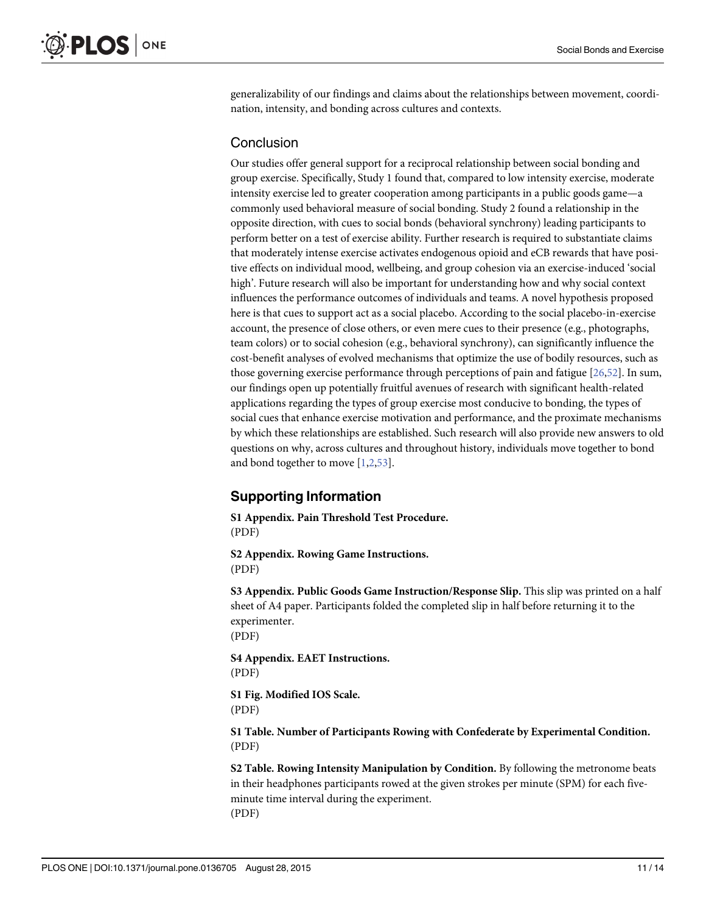<span id="page-10-0"></span>generalizability of our findings and claims about the relationships between movement, coordination, intensity, and bonding across cultures and contexts.

#### Conclusion

Our studies offer general support for a reciprocal relationship between social bonding and group exercise. Specifically, Study 1 found that, compared to low intensity exercise, moderate intensity exercise led to greater cooperation among participants in a public goods game—a commonly used behavioral measure of social bonding. Study 2 found a relationship in the opposite direction, with cues to social bonds (behavioral synchrony) leading participants to perform better on a test of exercise ability. Further research is required to substantiate claims that moderately intense exercise activates endogenous opioid and eCB rewards that have positive effects on individual mood, wellbeing, and group cohesion via an exercise-induced 'social high'. Future research will also be important for understanding how and why social context influences the performance outcomes of individuals and teams. A novel hypothesis proposed here is that cues to support act as a social placebo. According to the social placebo-in-exercise account, the presence of close others, or even mere cues to their presence (e.g., photographs, team colors) or to social cohesion (e.g., behavioral synchrony), can significantly influence the cost-benefit analyses of evolved mechanisms that optimize the use of bodily resources, such as those governing exercise performance through perceptions of pain and fatigue [[26](#page-12-0)[,52](#page-13-0)]. In sum, our findings open up potentially fruitful avenues of research with significant health-related applications regarding the types of group exercise most conducive to bonding, the types of social cues that enhance exercise motivation and performance, and the proximate mechanisms by which these relationships are established. Such research will also provide new answers to old questions on why, across cultures and throughout history, individuals move together to bond and bond together to move  $[1,2,53]$  $[1,2,53]$  $[1,2,53]$ .

#### Supporting Information

[S1 Appendix.](http://www.plosone.org/article/fetchSingleRepresentation.action?uri=info:doi/10.1371/journal.pone.0136705.s001) Pain Threshold Test Procedure. (PDF)

[S2 Appendix.](http://www.plosone.org/article/fetchSingleRepresentation.action?uri=info:doi/10.1371/journal.pone.0136705.s002) Rowing Game Instructions. (PDF)

[S3 Appendix.](http://www.plosone.org/article/fetchSingleRepresentation.action?uri=info:doi/10.1371/journal.pone.0136705.s003) Public Goods Game Instruction/Response Slip. This slip was printed on a half sheet of A4 paper. Participants folded the completed slip in half before returning it to the experimenter. (PDF)

[S4 Appendix.](http://www.plosone.org/article/fetchSingleRepresentation.action?uri=info:doi/10.1371/journal.pone.0136705.s004) EAET Instructions. (PDF)

[S1 Fig.](http://www.plosone.org/article/fetchSingleRepresentation.action?uri=info:doi/10.1371/journal.pone.0136705.s005) Modified IOS Scale. (PDF)

[S1 Table](http://www.plosone.org/article/fetchSingleRepresentation.action?uri=info:doi/10.1371/journal.pone.0136705.s006). Number of Participants Rowing with Confederate by Experimental Condition. (PDF)

[S2 Table](http://www.plosone.org/article/fetchSingleRepresentation.action?uri=info:doi/10.1371/journal.pone.0136705.s007). Rowing Intensity Manipulation by Condition. By following the metronome beats in their headphones participants rowed at the given strokes per minute (SPM) for each fiveminute time interval during the experiment. (PDF)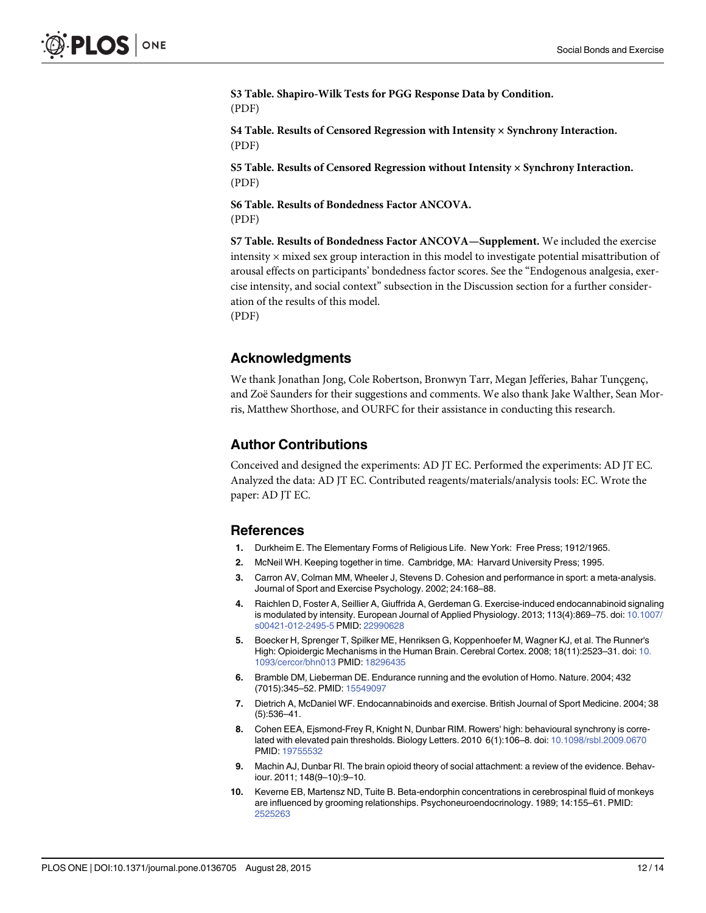<span id="page-11-0"></span>[S3 Table](http://www.plosone.org/article/fetchSingleRepresentation.action?uri=info:doi/10.1371/journal.pone.0136705.s008). Shapiro-Wilk Tests for PGG Response Data by Condition. (PDF)

[S4 Table](http://www.plosone.org/article/fetchSingleRepresentation.action?uri=info:doi/10.1371/journal.pone.0136705.s009). Results of Censored Regression with Intensity  $\times$  Synchrony Interaction. (PDF)

[S5 Table](http://www.plosone.org/article/fetchSingleRepresentation.action?uri=info:doi/10.1371/journal.pone.0136705.s010). Results of Censored Regression without Intensity  $\times$  Synchrony Interaction. (PDF)

[S6 Table](http://www.plosone.org/article/fetchSingleRepresentation.action?uri=info:doi/10.1371/journal.pone.0136705.s011). Results of Bondedness Factor ANCOVA. (PDF)

[S7 Table](http://www.plosone.org/article/fetchSingleRepresentation.action?uri=info:doi/10.1371/journal.pone.0136705.s012). Results of Bondedness Factor ANCOVA—Supplement. We included the exercise intensity × mixed sex group interaction in this model to investigate potential misattribution of arousal effects on participants' bondedness factor scores. See the "Endogenous analgesia, exercise intensity, and social context" subsection in the Discussion section for a further consideration of the results of this model. (PDF)

#### Acknowledgments

We thank Jonathan Jong, Cole Robertson, Bronwyn Tarr, Megan Jefferies, Bahar Tunçgenç, and Zoë Saunders for their suggestions and comments. We also thank Jake Walther, Sean Morris, Matthew Shorthose, and OURFC for their assistance in conducting this research.

#### Author Contributions

Conceived and designed the experiments: AD JT EC. Performed the experiments: AD JT EC. Analyzed the data: AD JT EC. Contributed reagents/materials/analysis tools: EC. Wrote the paper: AD JT EC.

#### References

- [1.](#page-0-0) Durkheim E. The Elementary Forms of Religious Life. New York: Free Press; 1912/1965.
- [2.](#page-0-0) McNeil WH. Keeping together in time. Cambridge, MA: Harvard University Press; 1995.
- [3.](#page-0-0) Carron AV, Colman MM, Wheeler J, Stevens D. Cohesion and performance in sport: a meta-analysis. Journal of Sport and Exercise Psychology. 2002; 24:168–88.
- [4.](#page-0-0) Raichlen D, Foster A, Seillier A, Giuffrida A, Gerdeman G. Exercise-induced endocannabinoid signaling is modulated by intensity. European Journal of Applied Physiology. 2013; 113(4):869–75. doi: [10.1007/](http://dx.doi.org/10.1007/s00421-012-2495-5) [s00421-012-2495-5](http://dx.doi.org/10.1007/s00421-012-2495-5) PMID: [22990628](http://www.ncbi.nlm.nih.gov/pubmed/22990628)
- [5.](#page-1-0) Boecker H, Sprenger T, Spilker ME, Henriksen G, Koppenhoefer M, Wagner KJ, et al. The Runner's High: Opioidergic Mechanisms in the Human Brain. Cerebral Cortex. 2008; 18(11):2523–31. doi: [10.](http://dx.doi.org/10.1093/cercor/bhn013) [1093/cercor/bhn013](http://dx.doi.org/10.1093/cercor/bhn013) PMID: [18296435](http://www.ncbi.nlm.nih.gov/pubmed/18296435)
- [6.](#page-1-0) Bramble DM, Lieberman DE. Endurance running and the evolution of Homo. Nature. 2004; 432 (7015):345–52. PMID: [15549097](http://www.ncbi.nlm.nih.gov/pubmed/15549097)
- [7.](#page-1-0) Dietrich A, McDaniel WF. Endocannabinoids and exercise. British Journal of Sport Medicine. 2004; 38 (5):536–41.
- [8.](#page-1-0) Cohen EEA, Ejsmond-Frey R, Knight N, Dunbar RIM. Rowers' high: behavioural synchrony is correlated with elevated pain thresholds. Biology Letters. 2010 6(1):106–8. doi: [10.1098/rsbl.2009.0670](http://dx.doi.org/10.1098/rsbl.2009.0670) PMID: [19755532](http://www.ncbi.nlm.nih.gov/pubmed/19755532)
- [9.](#page-1-0) Machin AJ, Dunbar RI. The brain opioid theory of social attachment: a review of the evidence. Behaviour. 2011; 148(9–10):9–10.
- [10.](#page-1-0) Keverne EB, Martensz ND, Tuite B. Beta-endorphin concentrations in cerebrospinal fluid of monkeys are influenced by grooming relationships. Psychoneuroendocrinology. 1989; 14:155–61. PMID: [2525263](http://www.ncbi.nlm.nih.gov/pubmed/2525263)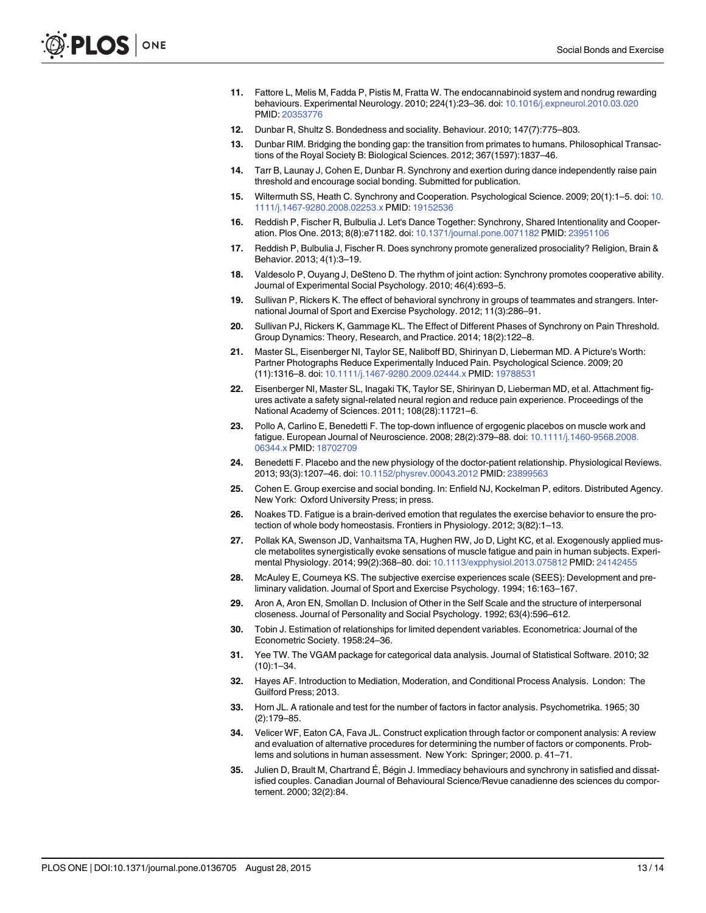- <span id="page-12-0"></span>[11.](#page-1-0) Fattore L, Melis M, Fadda P, Pistis M, Fratta W. The endocannabinoid system and nondrug rewarding behaviours. Experimental Neurology. 2010; 224(1):23–36. doi: [10.1016/j.expneurol.2010.03.020](http://dx.doi.org/10.1016/j.expneurol.2010.03.020) PMID: [20353776](http://www.ncbi.nlm.nih.gov/pubmed/20353776)
- [12.](#page-1-0) Dunbar R, Shultz S. Bondedness and sociality. Behaviour. 2010; 147(7):775–803.
- [13.](#page-1-0) Dunbar RIM. Bridging the bonding gap: the transition from primates to humans. Philosophical Transactions of the Royal Society B: Biological Sciences. 2012; 367(1597):1837–46.
- [14.](#page-1-0) Tarr B, Launay J, Cohen E, Dunbar R. Synchrony and exertion during dance independently raise pain threshold and encourage social bonding. Submitted for publication.
- [15.](#page-1-0) Wiltermuth SS, Heath C. Synchrony and Cooperation. Psychological Science. 2009; 20(1):1–5. doi: [10.](http://dx.doi.org/10.1111/j.1467-9280.2008.02253.x) [1111/j.1467-9280.2008.02253.x](http://dx.doi.org/10.1111/j.1467-9280.2008.02253.x) PMID: [19152536](http://www.ncbi.nlm.nih.gov/pubmed/19152536)
- [16.](#page-1-0) Reddish P, Fischer R, Bulbulia J. Let's Dance Together: Synchrony, Shared Intentionality and Cooperation. Plos One. 2013; 8(8):e71182. doi: [10.1371/journal.pone.0071182](http://dx.doi.org/10.1371/journal.pone.0071182) PMID: [23951106](http://www.ncbi.nlm.nih.gov/pubmed/23951106)
- [17.](#page-1-0) Reddish P, Bulbulia J, Fischer R. Does synchrony promote generalized prosociality? Religion, Brain & Behavior. 2013; 4(1):3–19.
- [18.](#page-1-0) Valdesolo P, Ouyang J, DeSteno D. The rhythm of joint action: Synchrony promotes cooperative ability. Journal of Experimental Social Psychology. 2010; 46(4):693–5.
- [19.](#page-1-0) Sullivan P, Rickers K. The effect of behavioral synchrony in groups of teammates and strangers. International Journal of Sport and Exercise Psychology. 2012; 11(3):286–91.
- [20.](#page-1-0) Sullivan PJ, Rickers K, Gammage KL. The Effect of Different Phases of Synchrony on Pain Threshold. Group Dynamics: Theory, Research, and Practice. 2014; 18(2):122–8.
- [21.](#page-1-0) Master SL, Eisenberger NI, Taylor SE, Naliboff BD, Shirinyan D, Lieberman MD. A Picture's Worth: Partner Photographs Reduce Experimentally Induced Pain. Psychological Science. 2009; 20 (11):1316–8. doi: [10.1111/j.1467-9280.2009.02444.x](http://dx.doi.org/10.1111/j.1467-9280.2009.02444.x) PMID: [19788531](http://www.ncbi.nlm.nih.gov/pubmed/19788531)
- [22.](#page-1-0) Eisenberger NI, Master SL, Inagaki TK, Taylor SE, Shirinyan D, Lieberman MD, et al. Attachment figures activate a safety signal-related neural region and reduce pain experience. Proceedings of the National Academy of Sciences. 2011; 108(28):11721–6.
- [23.](#page-1-0) Pollo A, Carlino E, Benedetti F. The top-down influence of ergogenic placebos on muscle work and fatigue. European Journal of Neuroscience. 2008; 28(2):379–88. doi: [10.1111/j.1460-9568.2008.](http://dx.doi.org/10.1111/j.1460-9568.2008.06344.x) [06344.x](http://dx.doi.org/10.1111/j.1460-9568.2008.06344.x) PMID: [18702709](http://www.ncbi.nlm.nih.gov/pubmed/18702709)
- [24.](#page-1-0) Benedetti F. Placebo and the new physiology of the doctor-patient relationship. Physiological Reviews. 2013; 93(3):1207–46. doi: [10.1152/physrev.00043.2012](http://dx.doi.org/10.1152/physrev.00043.2012) PMID: [23899563](http://www.ncbi.nlm.nih.gov/pubmed/23899563)
- [25.](#page-1-0) Cohen E. Group exercise and social bonding. In: Enfield NJ, Kockelman P, editors. Distributed Agency. New York: Oxford University Press; in press.
- [26.](#page-1-0) Noakes TD. Fatigue is a brain-derived emotion that regulates the exercise behavior to ensure the protection of whole body homeostasis. Frontiers in Physiology. 2012; 3(82):1–13.
- [27.](#page-1-0) Pollak KA, Swenson JD, Vanhaitsma TA, Hughen RW, Jo D, Light KC, et al. Exogenously applied muscle metabolites synergistically evoke sensations of muscle fatigue and pain in human subjects. Experimental Physiology. 2014; 99(2):368–80. doi: [10.1113/expphysiol.2013.075812](http://dx.doi.org/10.1113/expphysiol.2013.075812) PMID: [24142455](http://www.ncbi.nlm.nih.gov/pubmed/24142455)
- [28.](#page-3-0) McAuley E, Courneya KS. The subjective exercise experiences scale (SEES): Development and preliminary validation. Journal of Sport and Exercise Psychology. 1994; 16:163–167.
- [29.](#page-3-0) Aron A, Aron EN, Smollan D. Inclusion of Other in the Self Scale and the structure of interpersonal closeness. Journal of Personality and Social Psychology. 1992; 63(4):596–612.
- [30.](#page-3-0) Tobin J. Estimation of relationships for limited dependent variables. Econometrica: Journal of the Econometric Society. 1958:24–36.
- [31.](#page-3-0) Yee TW. The VGAM package for categorical data analysis. Journal of Statistical Software. 2010; 32  $(10):1-34.$
- [32.](#page-4-0) Hayes AF. Introduction to Mediation, Moderation, and Conditional Process Analysis. London: The Guilford Press; 2013.
- [33.](#page-4-0) Horn JL. A rationale and test for the number of factors in factor analysis. Psychometrika. 1965; 30 (2):179–85.
- [34.](#page-4-0) Velicer WF, Eaton CA, Fava JL. Construct explication through factor or component analysis: A review and evaluation of alternative procedures for determining the number of factors or components. Problems and solutions in human assessment. New York: Springer; 2000. p. 41–71.
- [35.](#page-4-0) Julien D, Brault M, Chartrand É, Bégin J. Immediacy behaviours and synchrony in satisfied and dissatisfied couples. Canadian Journal of Behavioural Science/Revue canadienne des sciences du comportement. 2000; 32(2):84.